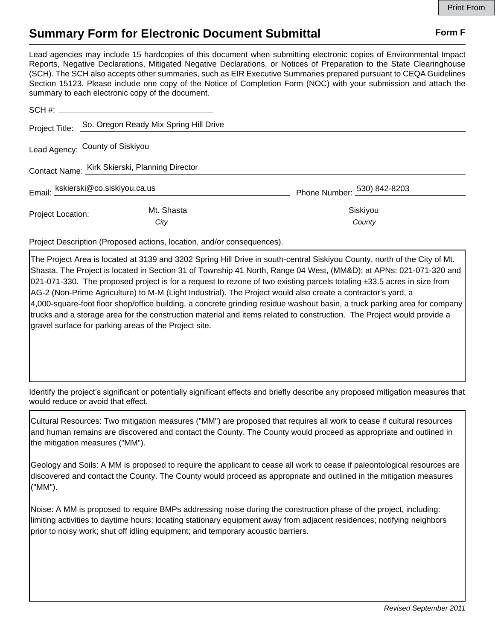## **Summary Form for Electronic Document Submittal Form F Form F**

Lead agencies may include 15 hardcopies of this document when submitting electronic copies of Environmental Impact Reports, Negative Declarations, Mitigated Negative Declarations, or Notices of Preparation to the State Clearinghouse (SCH). The SCH also accepts other summaries, such as EIR Executive Summaries prepared pursuant to CEQA Guidelines Section 15123. Please include one copy of the Notice of Completion Form (NOC) with your submission and attach the summary to each electronic copy of the document.

|                                                | Project Title: So. Oregon Ready Mix Spring Hill Drive |                             |
|------------------------------------------------|-------------------------------------------------------|-----------------------------|
|                                                | Lead Agency: County of Siskiyou                       |                             |
| Contact Name: Kirk Skierski, Planning Director |                                                       |                             |
| Email: kskierski@co.siskiyou.ca.us             |                                                       | Phone Number: 530) 842-8203 |
| Project Location: ___________                  | Mt. Shasta                                            | Siskiyou                    |
|                                                | City                                                  | County                      |

Project Description (Proposed actions, location, and/or consequences).

The Project Area is located at 3139 and 3202 Spring Hill Drive in south-central Siskiyou County, north of the City of Mt. Shasta. The Project is located in Section 31 of Township 41 North, Range 04 West, (MM&D); at APNs: 021-071-320 and 021-071-330. The proposed project is for a request to rezone of two existing parcels totaling  $\pm$ 33.5 acres in size from AG-2 (Non-Prime Agriculture) to M-M (Light Industrial). The Project would also create a contractor's yard, a 4,000-square-foot floor shop/office building, a concrete grinding residue washout basin, a truck parking area for company trucks and a storage area for the construction material and items related to construction. The Project would provide a gravel surface for parking areas of the Project site.

Identify the project's significant or potentially significant effects and briefly describe any proposed mitigation measures that would reduce or avoid that effect.

Cultural Resources: Two mitigation measures ("MM") are proposed that requires all work to cease if cultural resources and human remains are discovered and contact the County. The County would proceed as appropriate and outlined in the mitigation measures ("MM").

Geology and Soils: A MM is proposed to require the applicant to cease all work to cease if paleontological resources are discovered and contact the County. The County would proceed as appropriate and outlined in the mitigation measures ("MM").

Noise: A MM is proposed to require BMPs addressing noise during the construction phase of the project, including: limiting activities to daytime hours; locating stationary equipment away from adjacent residences; notifying neighbors prior to noisy work; shut off idling equipment; and temporary acoustic barriers.